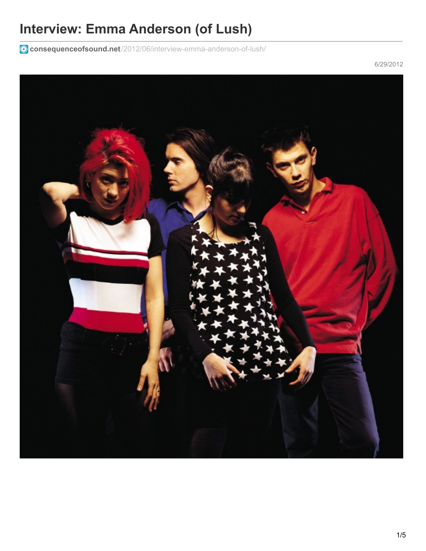# **Interview: Emma Anderson (of Lush)**

**consequenceofsound.net**[/2012/06/interview-emma-anderson-of-lush/](https://consequenceofsound.net/2012/06/interview-emma-anderson-of-lush/)

6/29/2012

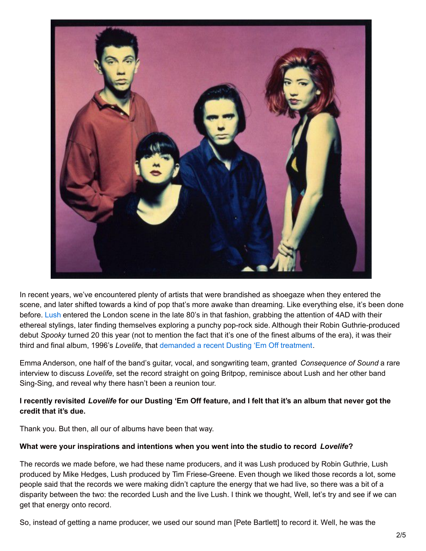

In recent years, we've encountered plenty of artists that were brandished as shoegaze when they entered the scene, and later shifted towards a kind of pop that's more awake than dreaming. Like everything else, it's been done before. [Lush](https://consequenceofsound.net/artist/lush/) entered the London scene in the late 80's in that fashion, grabbing the attention of 4AD with their ethereal stylings, later finding themselves exploring a punchy pop-rock side. Although their Robin Guthrie-produced debut *Spooky* turned 20 this year (not to mention the fact that it's one of the finest albums of the era), it was their third and final album, 1996's *Lovelife*, that [demanded](https://consequenceofsound.net/2012/04/dusting-em-off-lush-lovelife/) a recent Dusting 'Em Off treatment.

Emma Anderson, one half of the band's guitar, vocal, and songwriting team, granted *Consequence of Sound* a rare interview to discuss *Lovelife*, set the record straight on going Britpop, reminisce about Lush and her other band Sing-Sing, and reveal why there hasn't been a reunion tour.

### I recently revisited Lovelife for our Dusting 'Em Off feature, and I felt that it's an album that never got the **credit that it's due.**

Thank you. But then, all our of albums have been that way.

#### **What were your inspirations and intentions when you went into the studio to record** *Lovelife***?**

The records we made before, we had these name producers, and it was Lush produced by Robin Guthrie, Lush produced by Mike Hedges, Lush produced by Tim Friese-Greene. Even though we liked those records a lot, some people said that the records we were making didn't capture the energy that we had live, so there was a bit of a disparity between the two: the recorded Lush and the live Lush. I think we thought, Well, let's try and see if we can get that energy onto record.

So, instead of getting a name producer, we used our sound man [Pete Bartlett] to record it. Well, he was the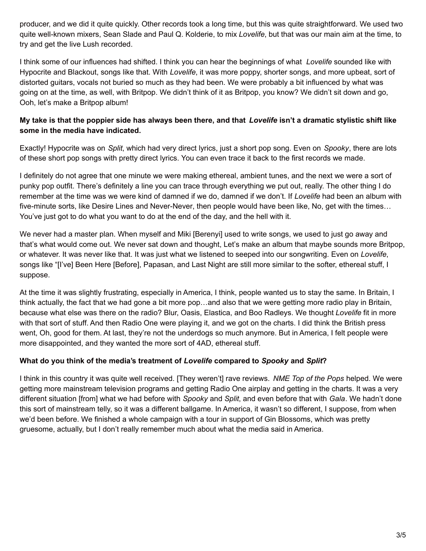producer, and we did it quite quickly. Other records took a long time, but this was quite straightforward. We used two quite well-known mixers, Sean Slade and Paul Q. Kolderie, to mix *Lovelife*, but that was our main aim at the time, to try and get the live Lush recorded.

I think some of our influences had shifted. I think you can hear the beginnings of what *Lovelife* sounded like with Hypocrite and Blackout, songs like that. With *Lovelife*, it was more poppy, shorter songs, and more upbeat, sort of distorted guitars, vocals not buried so much as they had been. We were probably a bit influenced by what was going on at the time, as well, with Britpop. We didn't think of it as Britpop, you know? We didn't sit down and go, Ooh, let's make a Britpop album!

### My take is that the poppier side has always been there, and that Lovelife isn't a dramatic stylistic shift like **some in the media have indicated.**

Exactly! Hypocrite was on *Split*, which had very direct lyrics, just a short pop song. Even on *Spooky*, there are lots of these short pop songs with pretty direct lyrics. You can even trace it back to the first records we made.

I definitely do not agree that one minute we were making ethereal, ambient tunes, and the next we were a sort of punky pop outfit. There's definitely a line you can trace through everything we put out, really. The other thing I do remember at the time was we were kind of damned if we do, damned if we don't. If *Lovelife* had been an album with five-minute sorts, like Desire Lines and Never-Never, then people would have been like, No, get with the times… You've just got to do what you want to do at the end of the day, and the hell with it.

We never had a master plan. When myself and Miki [Berenyi] used to write songs, we used to just go away and that's what would come out. We never sat down and thought, Let's make an album that maybe sounds more Britpop, or whatever. It was never like that. It was just what we listened to seeped into our songwriting. Even on *Lovelife*, songs like "[I've] Been Here [Before], Papasan, and Last Night are still more similar to the softer, ethereal stuff, I suppose.

At the time it was slightly frustrating, especially in America, I think, people wanted us to stay the same. In Britain, I think actually, the fact that we had gone a bit more pop…and also that we were getting more radio play in Britain, because what else was there on the radio? Blur, Oasis, Elastica, and Boo Radleys. We thought *Lovelife* fit in more with that sort of stuff. And then Radio One were playing it, and we got on the charts. I did think the British press went, Oh, good for them. At last, they're not the underdogs so much anymore. But in America, I felt people were more disappointed, and they wanted the more sort of 4AD, ethereal stuff.

### **What do you think of the media's treatment of** *Lovelife* **compared to** *Spooky* **and** *Split***?**

I think in this country it was quite well received. [They weren't] rave reviews. *NME Top of the Pops* helped. We were getting more mainstream television programs and getting Radio One airplay and getting in the charts. It was a very different situation [from] what we had before with *Spooky* and *Split*, and even before that with *Gala*. We hadn't done this sort of mainstream telly, so it was a different ballgame. In America, it wasn't so different, I suppose, from when we'd been before. We finished a whole campaign with a tour in support of Gin Blossoms, which was pretty gruesome, actually, but I don't really remember much about what the media said in America.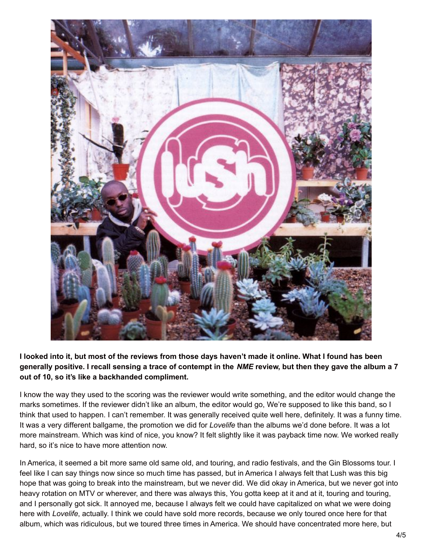

I looked into it, but most of the reviews from those days haven't made it online. What I found has been generally positive. I recall sensing a trace of contempt in the NME review, but then they gave the album a 7 **out of 10, so it's like a backhanded compliment.**

I know the way they used to the scoring was the reviewer would write something, and the editor would change the marks sometimes. If the reviewer didn't like an album, the editor would go, We're supposed to like this band, so I think that used to happen. I can't remember. It was generally received quite well here, definitely. It was a funny time. It was a very different ballgame, the promotion we did for *Lovelife* than the albums we'd done before. It was a lot more mainstream. Which was kind of nice, you know? It felt slightly like it was payback time now. We worked really hard, so it's nice to have more attention now.

In America, it seemed a bit more same old same old, and touring, and radio festivals, and the Gin Blossoms tour. I feel like I can say things now since so much time has passed, but in America I always felt that Lush was this big hope that was going to break into the mainstream, but we never did. We did okay in America, but we never got into heavy rotation on MTV or wherever, and there was always this, You gotta keep at it and at it, touring and touring, and I personally got sick. It annoyed me, because I always felt we could have capitalized on what we were doing here with *Lovelife*, actually. I think we could have sold more records, because we only toured once here for that album, which was ridiculous, but we toured three times in America. We should have concentrated more here, but